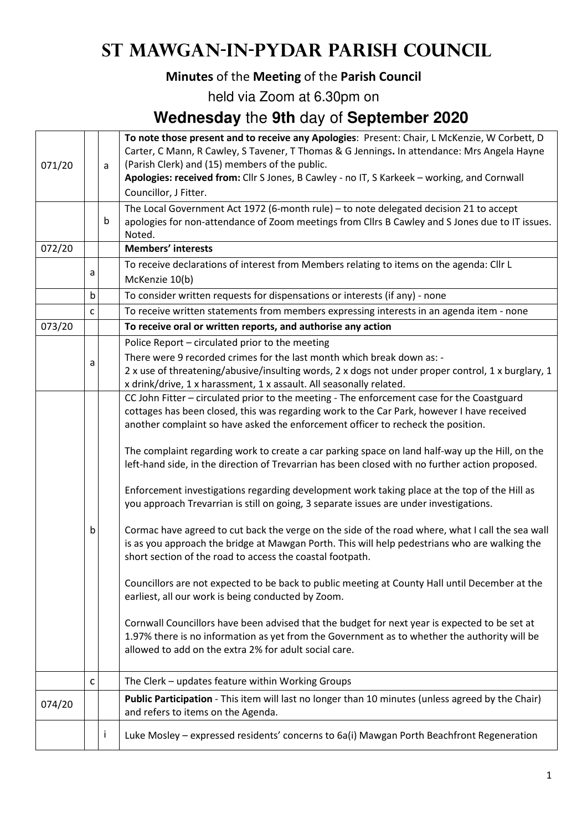# **St Mawgan-in-Pydar Parish Council**

#### **Minutes** of the **Meeting** of the **Parish Council**

held via Zoom at 6.30pm on

### **Wednesday** the **9th** day of **September 2020**

| 071/20 |                                                                                                                                                                                                                                                                                                                                                                                                                                                                                                                                                                                                                                                                                                                                                                                                                                                                                                                                                                                                                                                                                                                                                                                                                                                                                                                                                                                                                                                                                                                                                                                                                                                                                                            | a | To note those present and to receive any Apologies: Present: Chair, L McKenzie, W Corbett, D<br>Carter, C Mann, R Cawley, S Tavener, T Thomas & G Jennings. In attendance: Mrs Angela Hayne<br>(Parish Clerk) and (15) members of the public.<br>Apologies: received from: Cllr S Jones, B Cawley - no IT, S Karkeek - working, and Cornwall |  |
|--------|------------------------------------------------------------------------------------------------------------------------------------------------------------------------------------------------------------------------------------------------------------------------------------------------------------------------------------------------------------------------------------------------------------------------------------------------------------------------------------------------------------------------------------------------------------------------------------------------------------------------------------------------------------------------------------------------------------------------------------------------------------------------------------------------------------------------------------------------------------------------------------------------------------------------------------------------------------------------------------------------------------------------------------------------------------------------------------------------------------------------------------------------------------------------------------------------------------------------------------------------------------------------------------------------------------------------------------------------------------------------------------------------------------------------------------------------------------------------------------------------------------------------------------------------------------------------------------------------------------------------------------------------------------------------------------------------------------|---|----------------------------------------------------------------------------------------------------------------------------------------------------------------------------------------------------------------------------------------------------------------------------------------------------------------------------------------------|--|
|        |                                                                                                                                                                                                                                                                                                                                                                                                                                                                                                                                                                                                                                                                                                                                                                                                                                                                                                                                                                                                                                                                                                                                                                                                                                                                                                                                                                                                                                                                                                                                                                                                                                                                                                            |   |                                                                                                                                                                                                                                                                                                                                              |  |
|        |                                                                                                                                                                                                                                                                                                                                                                                                                                                                                                                                                                                                                                                                                                                                                                                                                                                                                                                                                                                                                                                                                                                                                                                                                                                                                                                                                                                                                                                                                                                                                                                                                                                                                                            | b | apologies for non-attendance of Zoom meetings from Cllrs B Cawley and S Jones due to IT issues.<br>Noted.                                                                                                                                                                                                                                    |  |
| 072/20 |                                                                                                                                                                                                                                                                                                                                                                                                                                                                                                                                                                                                                                                                                                                                                                                                                                                                                                                                                                                                                                                                                                                                                                                                                                                                                                                                                                                                                                                                                                                                                                                                                                                                                                            |   | <b>Members' interests</b>                                                                                                                                                                                                                                                                                                                    |  |
|        | a                                                                                                                                                                                                                                                                                                                                                                                                                                                                                                                                                                                                                                                                                                                                                                                                                                                                                                                                                                                                                                                                                                                                                                                                                                                                                                                                                                                                                                                                                                                                                                                                                                                                                                          |   | To receive declarations of interest from Members relating to items on the agenda: Cllr L<br>McKenzie 10(b)                                                                                                                                                                                                                                   |  |
|        | b                                                                                                                                                                                                                                                                                                                                                                                                                                                                                                                                                                                                                                                                                                                                                                                                                                                                                                                                                                                                                                                                                                                                                                                                                                                                                                                                                                                                                                                                                                                                                                                                                                                                                                          |   | To consider written requests for dispensations or interests (if any) - none                                                                                                                                                                                                                                                                  |  |
|        | C                                                                                                                                                                                                                                                                                                                                                                                                                                                                                                                                                                                                                                                                                                                                                                                                                                                                                                                                                                                                                                                                                                                                                                                                                                                                                                                                                                                                                                                                                                                                                                                                                                                                                                          |   | To receive written statements from members expressing interests in an agenda item - none                                                                                                                                                                                                                                                     |  |
| 073/20 |                                                                                                                                                                                                                                                                                                                                                                                                                                                                                                                                                                                                                                                                                                                                                                                                                                                                                                                                                                                                                                                                                                                                                                                                                                                                                                                                                                                                                                                                                                                                                                                                                                                                                                            |   | To receive oral or written reports, and authorise any action                                                                                                                                                                                                                                                                                 |  |
|        |                                                                                                                                                                                                                                                                                                                                                                                                                                                                                                                                                                                                                                                                                                                                                                                                                                                                                                                                                                                                                                                                                                                                                                                                                                                                                                                                                                                                                                                                                                                                                                                                                                                                                                            |   | Police Report - circulated prior to the meeting                                                                                                                                                                                                                                                                                              |  |
|        | Councillor, J Fitter.<br>The Local Government Act 1972 (6-month rule) - to note delegated decision 21 to accept<br>There were 9 recorded crimes for the last month which break down as: -<br>a<br>2 x use of threatening/abusive/insulting words, 2 x dogs not under proper control, 1 x burglary, 1<br>x drink/drive, 1 x harassment, 1 x assault. All seasonally related.<br>CC John Fitter - circulated prior to the meeting - The enforcement case for the Coastguard<br>cottages has been closed, this was regarding work to the Car Park, however I have received<br>another complaint so have asked the enforcement officer to recheck the position.<br>The complaint regarding work to create a car parking space on land half-way up the Hill, on the<br>left-hand side, in the direction of Trevarrian has been closed with no further action proposed.<br>Enforcement investigations regarding development work taking place at the top of the Hill as<br>you approach Trevarrian is still on going, 3 separate issues are under investigations.<br>b<br>is as you approach the bridge at Mawgan Porth. This will help pedestrians who are walking the<br>short section of the road to access the coastal footpath.<br>Councillors are not expected to be back to public meeting at County Hall until December at the<br>earliest, all our work is being conducted by Zoom.<br>Cornwall Councillors have been advised that the budget for next year is expected to be set at<br>1.97% there is no information as yet from the Government as to whether the authority will be<br>allowed to add on the extra 2% for adult social care.<br>The Clerk - updates feature within Working Groups<br>c |   |                                                                                                                                                                                                                                                                                                                                              |  |
|        |                                                                                                                                                                                                                                                                                                                                                                                                                                                                                                                                                                                                                                                                                                                                                                                                                                                                                                                                                                                                                                                                                                                                                                                                                                                                                                                                                                                                                                                                                                                                                                                                                                                                                                            |   |                                                                                                                                                                                                                                                                                                                                              |  |
|        |                                                                                                                                                                                                                                                                                                                                                                                                                                                                                                                                                                                                                                                                                                                                                                                                                                                                                                                                                                                                                                                                                                                                                                                                                                                                                                                                                                                                                                                                                                                                                                                                                                                                                                            |   |                                                                                                                                                                                                                                                                                                                                              |  |
|        |                                                                                                                                                                                                                                                                                                                                                                                                                                                                                                                                                                                                                                                                                                                                                                                                                                                                                                                                                                                                                                                                                                                                                                                                                                                                                                                                                                                                                                                                                                                                                                                                                                                                                                            |   |                                                                                                                                                                                                                                                                                                                                              |  |
|        |                                                                                                                                                                                                                                                                                                                                                                                                                                                                                                                                                                                                                                                                                                                                                                                                                                                                                                                                                                                                                                                                                                                                                                                                                                                                                                                                                                                                                                                                                                                                                                                                                                                                                                            |   |                                                                                                                                                                                                                                                                                                                                              |  |
|        |                                                                                                                                                                                                                                                                                                                                                                                                                                                                                                                                                                                                                                                                                                                                                                                                                                                                                                                                                                                                                                                                                                                                                                                                                                                                                                                                                                                                                                                                                                                                                                                                                                                                                                            |   | Cormac have agreed to cut back the verge on the side of the road where, what I call the sea wall                                                                                                                                                                                                                                             |  |
|        |                                                                                                                                                                                                                                                                                                                                                                                                                                                                                                                                                                                                                                                                                                                                                                                                                                                                                                                                                                                                                                                                                                                                                                                                                                                                                                                                                                                                                                                                                                                                                                                                                                                                                                            |   |                                                                                                                                                                                                                                                                                                                                              |  |
|        |                                                                                                                                                                                                                                                                                                                                                                                                                                                                                                                                                                                                                                                                                                                                                                                                                                                                                                                                                                                                                                                                                                                                                                                                                                                                                                                                                                                                                                                                                                                                                                                                                                                                                                            |   |                                                                                                                                                                                                                                                                                                                                              |  |
|        |                                                                                                                                                                                                                                                                                                                                                                                                                                                                                                                                                                                                                                                                                                                                                                                                                                                                                                                                                                                                                                                                                                                                                                                                                                                                                                                                                                                                                                                                                                                                                                                                                                                                                                            |   |                                                                                                                                                                                                                                                                                                                                              |  |
| 074/20 |                                                                                                                                                                                                                                                                                                                                                                                                                                                                                                                                                                                                                                                                                                                                                                                                                                                                                                                                                                                                                                                                                                                                                                                                                                                                                                                                                                                                                                                                                                                                                                                                                                                                                                            |   | Public Participation - This item will last no longer than 10 minutes (unless agreed by the Chair)<br>and refers to items on the Agenda.                                                                                                                                                                                                      |  |
|        |                                                                                                                                                                                                                                                                                                                                                                                                                                                                                                                                                                                                                                                                                                                                                                                                                                                                                                                                                                                                                                                                                                                                                                                                                                                                                                                                                                                                                                                                                                                                                                                                                                                                                                            | Ť | Luke Mosley - expressed residents' concerns to 6a(i) Mawgan Porth Beachfront Regeneration                                                                                                                                                                                                                                                    |  |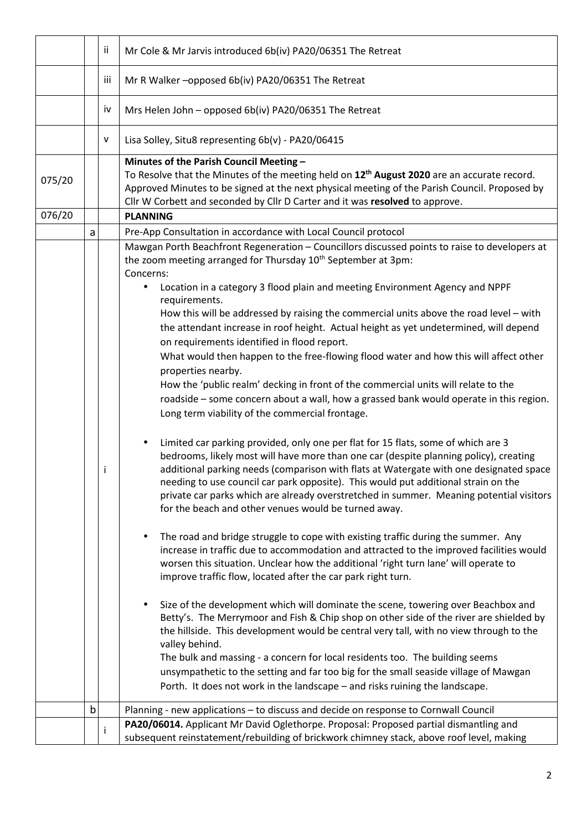|        |   | ii. | Mr Cole & Mr Jarvis introduced 6b(iv) PA20/06351 The Retreat                                                                                                                                                                                                                                                                                                                                                                                                                                                                                   |  |
|--------|---|-----|------------------------------------------------------------------------------------------------------------------------------------------------------------------------------------------------------------------------------------------------------------------------------------------------------------------------------------------------------------------------------------------------------------------------------------------------------------------------------------------------------------------------------------------------|--|
|        |   | iii | Mr R Walker - opposed 6b(iv) PA20/06351 The Retreat                                                                                                                                                                                                                                                                                                                                                                                                                                                                                            |  |
|        |   | iv  | Mrs Helen John - opposed 6b(iv) PA20/06351 The Retreat                                                                                                                                                                                                                                                                                                                                                                                                                                                                                         |  |
|        |   | v   | Lisa Solley, Situ8 representing 6b(v) - PA20/06415                                                                                                                                                                                                                                                                                                                                                                                                                                                                                             |  |
| 075/20 |   |     | Minutes of the Parish Council Meeting -<br>To Resolve that the Minutes of the meeting held on 12 <sup>th</sup> August 2020 are an accurate record.<br>Approved Minutes to be signed at the next physical meeting of the Parish Council. Proposed by<br>Cllr W Corbett and seconded by Cllr D Carter and it was resolved to approve.                                                                                                                                                                                                            |  |
| 076/20 |   |     | <b>PLANNING</b>                                                                                                                                                                                                                                                                                                                                                                                                                                                                                                                                |  |
|        | a |     | Pre-App Consultation in accordance with Local Council protocol                                                                                                                                                                                                                                                                                                                                                                                                                                                                                 |  |
|        |   |     | Mawgan Porth Beachfront Regeneration - Councillors discussed points to raise to developers at<br>the zoom meeting arranged for Thursday 10 <sup>th</sup> September at 3pm:<br>Concerns:                                                                                                                                                                                                                                                                                                                                                        |  |
|        |   |     | Location in a category 3 flood plain and meeting Environment Agency and NPPF<br>requirements.<br>How this will be addressed by raising the commercial units above the road level - with<br>the attendant increase in roof height. Actual height as yet undetermined, will depend<br>on requirements identified in flood report.<br>What would then happen to the free-flowing flood water and how this will affect other                                                                                                                       |  |
|        |   |     | properties nearby.<br>How the 'public realm' decking in front of the commercial units will relate to the<br>roadside - some concern about a wall, how a grassed bank would operate in this region.<br>Long term viability of the commercial frontage.                                                                                                                                                                                                                                                                                          |  |
|        |   |     | Limited car parking provided, only one per flat for 15 flats, some of which are 3<br>bedrooms, likely most will have more than one car (despite planning policy), creating<br>additional parking needs (comparison with flats at Watergate with one designated space<br>needing to use council car park opposite). This would put additional strain on the<br>private car parks which are already overstretched in summer. Meaning potential visitors<br>for the beach and other venues would be turned away.                                  |  |
|        |   |     | The road and bridge struggle to cope with existing traffic during the summer. Any<br>increase in traffic due to accommodation and attracted to the improved facilities would<br>worsen this situation. Unclear how the additional 'right turn lane' will operate to<br>improve traffic flow, located after the car park right turn.                                                                                                                                                                                                            |  |
|        |   |     | Size of the development which will dominate the scene, towering over Beachbox and<br>Betty's. The Merrymoor and Fish & Chip shop on other side of the river are shielded by<br>the hillside. This development would be central very tall, with no view through to the<br>valley behind.<br>The bulk and massing - a concern for local residents too. The building seems<br>unsympathetic to the setting and far too big for the small seaside village of Mawgan<br>Porth. It does not work in the landscape – and risks ruining the landscape. |  |
|        | b |     | Planning - new applications - to discuss and decide on response to Cornwall Council                                                                                                                                                                                                                                                                                                                                                                                                                                                            |  |
|        |   |     | PA20/06014. Applicant Mr David Oglethorpe. Proposal: Proposed partial dismantling and                                                                                                                                                                                                                                                                                                                                                                                                                                                          |  |
|        |   | i   | subsequent reinstatement/rebuilding of brickwork chimney stack, above roof level, making                                                                                                                                                                                                                                                                                                                                                                                                                                                       |  |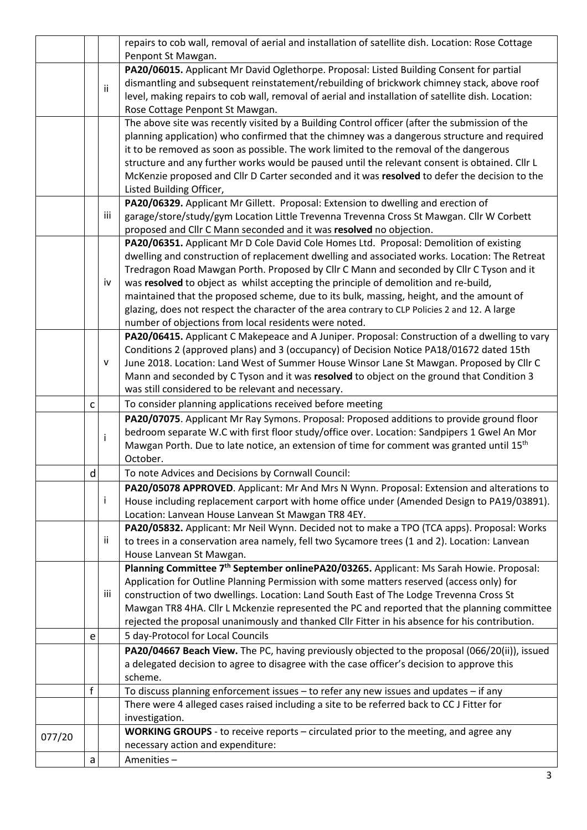|        |   |                                                                                        | repairs to cob wall, removal of aerial and installation of satellite dish. Location: Rose Cottage     |  |  |  |
|--------|---|----------------------------------------------------------------------------------------|-------------------------------------------------------------------------------------------------------|--|--|--|
|        |   |                                                                                        | Penpont St Mawgan.                                                                                    |  |  |  |
|        |   |                                                                                        | PA20/06015. Applicant Mr David Oglethorpe. Proposal: Listed Building Consent for partial              |  |  |  |
|        |   | ii.                                                                                    | dismantling and subsequent reinstatement/rebuilding of brickwork chimney stack, above roof            |  |  |  |
|        |   |                                                                                        | level, making repairs to cob wall, removal of aerial and installation of satellite dish. Location:    |  |  |  |
|        |   |                                                                                        | Rose Cottage Penpont St Mawgan.                                                                       |  |  |  |
|        |   |                                                                                        | The above site was recently visited by a Building Control officer (after the submission of the        |  |  |  |
|        |   |                                                                                        | planning application) who confirmed that the chimney was a dangerous structure and required           |  |  |  |
|        |   |                                                                                        | it to be removed as soon as possible. The work limited to the removal of the dangerous                |  |  |  |
|        |   |                                                                                        | structure and any further works would be paused until the relevant consent is obtained. Cllr L        |  |  |  |
|        |   |                                                                                        | McKenzie proposed and Cllr D Carter seconded and it was resolved to defer the decision to the         |  |  |  |
|        |   |                                                                                        | Listed Building Officer,                                                                              |  |  |  |
|        |   |                                                                                        | PA20/06329. Applicant Mr Gillett. Proposal: Extension to dwelling and erection of                     |  |  |  |
|        |   | iii                                                                                    | garage/store/study/gym Location Little Trevenna Trevenna Cross St Mawgan. Cllr W Corbett              |  |  |  |
|        |   |                                                                                        | proposed and Cllr C Mann seconded and it was resolved no objection.                                   |  |  |  |
|        |   | PA20/06351. Applicant Mr D Cole David Cole Homes Ltd. Proposal: Demolition of existing |                                                                                                       |  |  |  |
|        |   |                                                                                        | dwelling and construction of replacement dwelling and associated works. Location: The Retreat         |  |  |  |
|        |   |                                                                                        | Tredragon Road Mawgan Porth. Proposed by Cllr C Mann and seconded by Cllr C Tyson and it              |  |  |  |
|        |   | iv                                                                                     | was resolved to object as whilst accepting the principle of demolition and re-build,                  |  |  |  |
|        |   |                                                                                        | maintained that the proposed scheme, due to its bulk, massing, height, and the amount of              |  |  |  |
|        |   |                                                                                        | glazing, does not respect the character of the area contrary to CLP Policies 2 and 12. A large        |  |  |  |
|        |   |                                                                                        | number of objections from local residents were noted.                                                 |  |  |  |
|        |   |                                                                                        | PA20/06415. Applicant C Makepeace and A Juniper. Proposal: Construction of a dwelling to vary         |  |  |  |
|        |   |                                                                                        | Conditions 2 (approved plans) and 3 (occupancy) of Decision Notice PA18/01672 dated 15th              |  |  |  |
|        |   | v                                                                                      | June 2018. Location: Land West of Summer House Winsor Lane St Mawgan. Proposed by Cllr C              |  |  |  |
|        |   |                                                                                        | Mann and seconded by C Tyson and it was resolved to object on the ground that Condition 3             |  |  |  |
|        |   |                                                                                        | was still considered to be relevant and necessary.                                                    |  |  |  |
|        | C |                                                                                        | To consider planning applications received before meeting                                             |  |  |  |
|        |   |                                                                                        | PA20/07075. Applicant Mr Ray Symons. Proposal: Proposed additions to provide ground floor             |  |  |  |
|        |   | İ                                                                                      | bedroom separate W.C with first floor study/office over. Location: Sandpipers 1 Gwel An Mor           |  |  |  |
|        |   |                                                                                        | Mawgan Porth. Due to late notice, an extension of time for comment was granted until 15 <sup>th</sup> |  |  |  |
|        |   |                                                                                        | October.                                                                                              |  |  |  |
|        | d |                                                                                        | To note Advices and Decisions by Cornwall Council:                                                    |  |  |  |
|        |   |                                                                                        | PA20/05078 APPROVED. Applicant: Mr And Mrs N Wynn. Proposal: Extension and alterations to             |  |  |  |
|        |   | j.                                                                                     | House including replacement carport with home office under (Amended Design to PA19/03891).            |  |  |  |
|        |   |                                                                                        | Location: Lanvean House Lanvean St Mawgan TR8 4EY.                                                    |  |  |  |
|        |   |                                                                                        | PA20/05832. Applicant: Mr Neil Wynn. Decided not to make a TPO (TCA apps). Proposal: Works            |  |  |  |
|        |   | ii                                                                                     | to trees in a conservation area namely, fell two Sycamore trees (1 and 2). Location: Lanvean          |  |  |  |
|        |   |                                                                                        | House Lanvean St Mawgan.                                                                              |  |  |  |
|        |   |                                                                                        | Planning Committee 7 <sup>th</sup> September onlinePA20/03265. Applicant: Ms Sarah Howie. Proposal:   |  |  |  |
|        |   |                                                                                        | Application for Outline Planning Permission with some matters reserved (access only) for              |  |  |  |
|        |   | iii                                                                                    | construction of two dwellings. Location: Land South East of The Lodge Trevenna Cross St               |  |  |  |
|        |   |                                                                                        | Mawgan TR8 4HA. Cllr L Mckenzie represented the PC and reported that the planning committee           |  |  |  |
|        |   |                                                                                        | rejected the proposal unanimously and thanked Cllr Fitter in his absence for his contribution.        |  |  |  |
|        | e |                                                                                        | 5 day-Protocol for Local Councils                                                                     |  |  |  |
|        |   |                                                                                        | PA20/04667 Beach View. The PC, having previously objected to the proposal (066/20(ii)), issued        |  |  |  |
|        |   |                                                                                        | a delegated decision to agree to disagree with the case officer's decision to approve this            |  |  |  |
|        |   |                                                                                        | scheme.                                                                                               |  |  |  |
|        | f |                                                                                        | To discuss planning enforcement issues - to refer any new issues and updates - if any                 |  |  |  |
|        |   |                                                                                        | There were 4 alleged cases raised including a site to be referred back to CC J Fitter for             |  |  |  |
|        |   |                                                                                        | investigation.                                                                                        |  |  |  |
| 077/20 |   |                                                                                        | <b>WORKING GROUPS</b> - to receive reports – circulated prior to the meeting, and agree any           |  |  |  |
|        |   |                                                                                        | necessary action and expenditure:                                                                     |  |  |  |
|        | a |                                                                                        | Amenities-                                                                                            |  |  |  |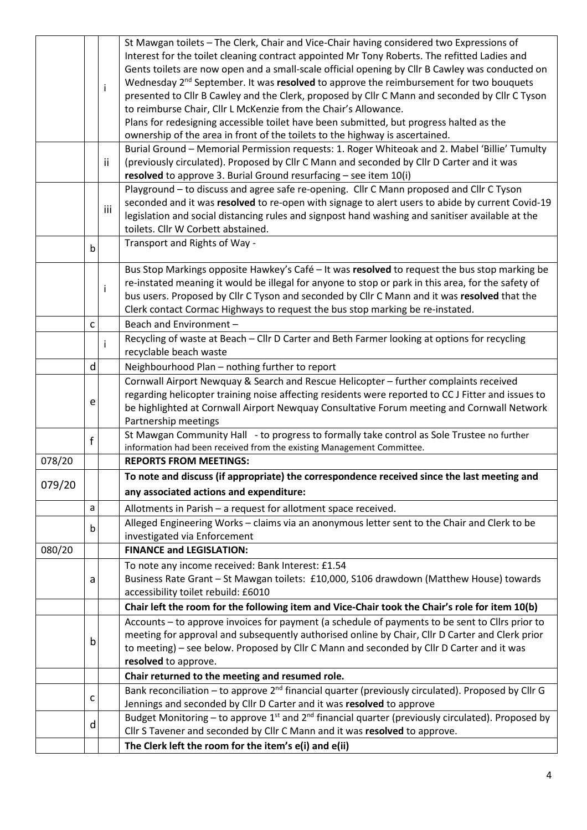|        |              |                                                                                                 | St Mawgan toilets - The Clerk, Chair and Vice-Chair having considered two Expressions of                                                                                                                                                                                                                                                                                                                                                                                                                                                                                                                                                                                                                                                                                                                                                        |  |  |  |
|--------|--------------|-------------------------------------------------------------------------------------------------|-------------------------------------------------------------------------------------------------------------------------------------------------------------------------------------------------------------------------------------------------------------------------------------------------------------------------------------------------------------------------------------------------------------------------------------------------------------------------------------------------------------------------------------------------------------------------------------------------------------------------------------------------------------------------------------------------------------------------------------------------------------------------------------------------------------------------------------------------|--|--|--|
|        |              |                                                                                                 | Interest for the toilet cleaning contract appointed Mr Tony Roberts. The refitted Ladies and                                                                                                                                                                                                                                                                                                                                                                                                                                                                                                                                                                                                                                                                                                                                                    |  |  |  |
|        |              |                                                                                                 | Gents toilets are now open and a small-scale official opening by Cllr B Cawley was conducted on                                                                                                                                                                                                                                                                                                                                                                                                                                                                                                                                                                                                                                                                                                                                                 |  |  |  |
|        |              |                                                                                                 | Wednesday 2 <sup>nd</sup> September. It was resolved to approve the reimbursement for two bouquets                                                                                                                                                                                                                                                                                                                                                                                                                                                                                                                                                                                                                                                                                                                                              |  |  |  |
|        |              | i                                                                                               | presented to Cllr B Cawley and the Clerk, proposed by Cllr C Mann and seconded by Cllr C Tyson                                                                                                                                                                                                                                                                                                                                                                                                                                                                                                                                                                                                                                                                                                                                                  |  |  |  |
|        |              |                                                                                                 | to reimburse Chair, Cllr L McKenzie from the Chair's Allowance.                                                                                                                                                                                                                                                                                                                                                                                                                                                                                                                                                                                                                                                                                                                                                                                 |  |  |  |
|        |              |                                                                                                 | Plans for redesigning accessible toilet have been submitted, but progress halted as the                                                                                                                                                                                                                                                                                                                                                                                                                                                                                                                                                                                                                                                                                                                                                         |  |  |  |
|        |              |                                                                                                 | ownership of the area in front of the toilets to the highway is ascertained.                                                                                                                                                                                                                                                                                                                                                                                                                                                                                                                                                                                                                                                                                                                                                                    |  |  |  |
|        |              |                                                                                                 |                                                                                                                                                                                                                                                                                                                                                                                                                                                                                                                                                                                                                                                                                                                                                                                                                                                 |  |  |  |
|        |              |                                                                                                 | Burial Ground - Memorial Permission requests: 1. Roger Whiteoak and 2. Mabel 'Billie' Tumulty                                                                                                                                                                                                                                                                                                                                                                                                                                                                                                                                                                                                                                                                                                                                                   |  |  |  |
|        |              | ij.                                                                                             | (previously circulated). Proposed by Cllr C Mann and seconded by Cllr D Carter and it was                                                                                                                                                                                                                                                                                                                                                                                                                                                                                                                                                                                                                                                                                                                                                       |  |  |  |
|        |              |                                                                                                 | resolved to approve 3. Burial Ground resurfacing $-$ see item $10(i)$                                                                                                                                                                                                                                                                                                                                                                                                                                                                                                                                                                                                                                                                                                                                                                           |  |  |  |
|        |              |                                                                                                 | Playground - to discuss and agree safe re-opening. Cllr C Mann proposed and Cllr C Tyson                                                                                                                                                                                                                                                                                                                                                                                                                                                                                                                                                                                                                                                                                                                                                        |  |  |  |
|        |              | iii                                                                                             | seconded and it was resolved to re-open with signage to alert users to abide by current Covid-19                                                                                                                                                                                                                                                                                                                                                                                                                                                                                                                                                                                                                                                                                                                                                |  |  |  |
|        |              |                                                                                                 | legislation and social distancing rules and signpost hand washing and sanitiser available at the                                                                                                                                                                                                                                                                                                                                                                                                                                                                                                                                                                                                                                                                                                                                                |  |  |  |
|        |              |                                                                                                 | toilets. Cllr W Corbett abstained.                                                                                                                                                                                                                                                                                                                                                                                                                                                                                                                                                                                                                                                                                                                                                                                                              |  |  |  |
|        | b            |                                                                                                 | Transport and Rights of Way -                                                                                                                                                                                                                                                                                                                                                                                                                                                                                                                                                                                                                                                                                                                                                                                                                   |  |  |  |
|        |              |                                                                                                 |                                                                                                                                                                                                                                                                                                                                                                                                                                                                                                                                                                                                                                                                                                                                                                                                                                                 |  |  |  |
|        |              |                                                                                                 | Bus Stop Markings opposite Hawkey's Café - It was resolved to request the bus stop marking be                                                                                                                                                                                                                                                                                                                                                                                                                                                                                                                                                                                                                                                                                                                                                   |  |  |  |
|        |              | İ                                                                                               | re-instated meaning it would be illegal for anyone to stop or park in this area, for the safety of                                                                                                                                                                                                                                                                                                                                                                                                                                                                                                                                                                                                                                                                                                                                              |  |  |  |
|        |              |                                                                                                 | bus users. Proposed by Cllr C Tyson and seconded by Cllr C Mann and it was resolved that the                                                                                                                                                                                                                                                                                                                                                                                                                                                                                                                                                                                                                                                                                                                                                    |  |  |  |
|        |              |                                                                                                 | Clerk contact Cormac Highways to request the bus stop marking be re-instated.                                                                                                                                                                                                                                                                                                                                                                                                                                                                                                                                                                                                                                                                                                                                                                   |  |  |  |
|        | с            |                                                                                                 | Beach and Environment-                                                                                                                                                                                                                                                                                                                                                                                                                                                                                                                                                                                                                                                                                                                                                                                                                          |  |  |  |
|        |              |                                                                                                 |                                                                                                                                                                                                                                                                                                                                                                                                                                                                                                                                                                                                                                                                                                                                                                                                                                                 |  |  |  |
|        |              |                                                                                                 |                                                                                                                                                                                                                                                                                                                                                                                                                                                                                                                                                                                                                                                                                                                                                                                                                                                 |  |  |  |
|        | d            |                                                                                                 |                                                                                                                                                                                                                                                                                                                                                                                                                                                                                                                                                                                                                                                                                                                                                                                                                                                 |  |  |  |
|        |              |                                                                                                 |                                                                                                                                                                                                                                                                                                                                                                                                                                                                                                                                                                                                                                                                                                                                                                                                                                                 |  |  |  |
|        |              |                                                                                                 |                                                                                                                                                                                                                                                                                                                                                                                                                                                                                                                                                                                                                                                                                                                                                                                                                                                 |  |  |  |
|        | e            |                                                                                                 |                                                                                                                                                                                                                                                                                                                                                                                                                                                                                                                                                                                                                                                                                                                                                                                                                                                 |  |  |  |
|        |              |                                                                                                 |                                                                                                                                                                                                                                                                                                                                                                                                                                                                                                                                                                                                                                                                                                                                                                                                                                                 |  |  |  |
|        |              |                                                                                                 |                                                                                                                                                                                                                                                                                                                                                                                                                                                                                                                                                                                                                                                                                                                                                                                                                                                 |  |  |  |
|        | $\mathsf{f}$ |                                                                                                 |                                                                                                                                                                                                                                                                                                                                                                                                                                                                                                                                                                                                                                                                                                                                                                                                                                                 |  |  |  |
|        |              |                                                                                                 |                                                                                                                                                                                                                                                                                                                                                                                                                                                                                                                                                                                                                                                                                                                                                                                                                                                 |  |  |  |
| 078/20 |              |                                                                                                 |                                                                                                                                                                                                                                                                                                                                                                                                                                                                                                                                                                                                                                                                                                                                                                                                                                                 |  |  |  |
| 079/20 |              |                                                                                                 | Recycling of waste at Beach - Cllr D Carter and Beth Farmer looking at options for recycling<br>recyclable beach waste<br>Neighbourhood Plan - nothing further to report<br>Cornwall Airport Newquay & Search and Rescue Helicopter - further complaints received<br>regarding helicopter training noise affecting residents were reported to CC J Fitter and issues to<br>be highlighted at Cornwall Airport Newquay Consultative Forum meeting and Cornwall Network<br>Partnership meetings<br>St Mawgan Community Hall - to progress to formally take control as Sole Trustee no further<br>information had been received from the existing Management Committee.<br><b>REPORTS FROM MEETINGS:</b><br>To note and discuss (if appropriate) the correspondence received since the last meeting and<br>any associated actions and expenditure: |  |  |  |
|        |              |                                                                                                 |                                                                                                                                                                                                                                                                                                                                                                                                                                                                                                                                                                                                                                                                                                                                                                                                                                                 |  |  |  |
|        | a            |                                                                                                 | Allotments in Parish - a request for allotment space received.                                                                                                                                                                                                                                                                                                                                                                                                                                                                                                                                                                                                                                                                                                                                                                                  |  |  |  |
|        |              |                                                                                                 | Alleged Engineering Works - claims via an anonymous letter sent to the Chair and Clerk to be                                                                                                                                                                                                                                                                                                                                                                                                                                                                                                                                                                                                                                                                                                                                                    |  |  |  |
|        | $\mathsf{b}$ |                                                                                                 | investigated via Enforcement                                                                                                                                                                                                                                                                                                                                                                                                                                                                                                                                                                                                                                                                                                                                                                                                                    |  |  |  |
| 080/20 |              |                                                                                                 | <b>FINANCE and LEGISLATION:</b>                                                                                                                                                                                                                                                                                                                                                                                                                                                                                                                                                                                                                                                                                                                                                                                                                 |  |  |  |
|        |              |                                                                                                 |                                                                                                                                                                                                                                                                                                                                                                                                                                                                                                                                                                                                                                                                                                                                                                                                                                                 |  |  |  |
|        |              |                                                                                                 | To note any income received: Bank Interest: £1.54                                                                                                                                                                                                                                                                                                                                                                                                                                                                                                                                                                                                                                                                                                                                                                                               |  |  |  |
|        | a            |                                                                                                 | Business Rate Grant - St Mawgan toilets: £10,000, S106 drawdown (Matthew House) towards                                                                                                                                                                                                                                                                                                                                                                                                                                                                                                                                                                                                                                                                                                                                                         |  |  |  |
|        |              |                                                                                                 | accessibility toilet rebuild: £6010                                                                                                                                                                                                                                                                                                                                                                                                                                                                                                                                                                                                                                                                                                                                                                                                             |  |  |  |
|        |              |                                                                                                 | Chair left the room for the following item and Vice-Chair took the Chair's role for item 10(b)                                                                                                                                                                                                                                                                                                                                                                                                                                                                                                                                                                                                                                                                                                                                                  |  |  |  |
|        |              |                                                                                                 | Accounts - to approve invoices for payment (a schedule of payments to be sent to ClIrs prior to                                                                                                                                                                                                                                                                                                                                                                                                                                                                                                                                                                                                                                                                                                                                                 |  |  |  |
| b      |              | meeting for approval and subsequently authorised online by Chair, Cllr D Carter and Clerk prior |                                                                                                                                                                                                                                                                                                                                                                                                                                                                                                                                                                                                                                                                                                                                                                                                                                                 |  |  |  |
|        |              | to meeting) - see below. Proposed by Cllr C Mann and seconded by Cllr D Carter and it was       |                                                                                                                                                                                                                                                                                                                                                                                                                                                                                                                                                                                                                                                                                                                                                                                                                                                 |  |  |  |
|        |              |                                                                                                 | resolved to approve.                                                                                                                                                                                                                                                                                                                                                                                                                                                                                                                                                                                                                                                                                                                                                                                                                            |  |  |  |
|        |              |                                                                                                 | Chair returned to the meeting and resumed role.                                                                                                                                                                                                                                                                                                                                                                                                                                                                                                                                                                                                                                                                                                                                                                                                 |  |  |  |
|        |              |                                                                                                 | Bank reconciliation - to approve 2 <sup>nd</sup> financial quarter (previously circulated). Proposed by Cllr G                                                                                                                                                                                                                                                                                                                                                                                                                                                                                                                                                                                                                                                                                                                                  |  |  |  |
|        | с            |                                                                                                 | Jennings and seconded by Cllr D Carter and it was resolved to approve                                                                                                                                                                                                                                                                                                                                                                                                                                                                                                                                                                                                                                                                                                                                                                           |  |  |  |
|        |              |                                                                                                 | Budget Monitoring – to approve $1^{st}$ and $2^{nd}$ financial quarter (previously circulated). Proposed by                                                                                                                                                                                                                                                                                                                                                                                                                                                                                                                                                                                                                                                                                                                                     |  |  |  |
|        | d            |                                                                                                 | Cllr S Tavener and seconded by Cllr C Mann and it was resolved to approve.                                                                                                                                                                                                                                                                                                                                                                                                                                                                                                                                                                                                                                                                                                                                                                      |  |  |  |
|        |              |                                                                                                 | The Clerk left the room for the item's e(i) and e(ii)                                                                                                                                                                                                                                                                                                                                                                                                                                                                                                                                                                                                                                                                                                                                                                                           |  |  |  |
|        |              |                                                                                                 |                                                                                                                                                                                                                                                                                                                                                                                                                                                                                                                                                                                                                                                                                                                                                                                                                                                 |  |  |  |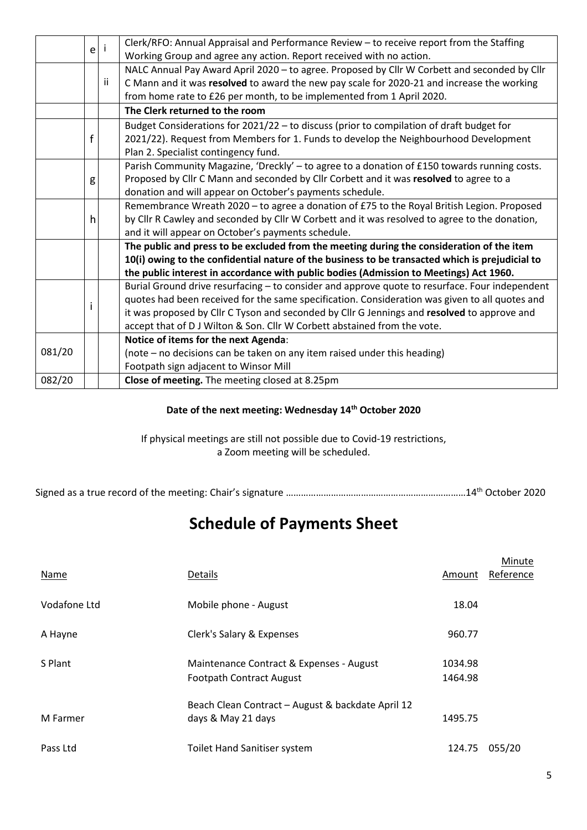|        | e                                                                                               | Clerk/RFO: Annual Appraisal and Performance Review - to receive report from the Staffing       |  |  |  |
|--------|-------------------------------------------------------------------------------------------------|------------------------------------------------------------------------------------------------|--|--|--|
|        |                                                                                                 | Working Group and agree any action. Report received with no action.                            |  |  |  |
|        |                                                                                                 | NALC Annual Pay Award April 2020 - to agree. Proposed by Cllr W Corbett and seconded by Cllr   |  |  |  |
|        | Ϊİ                                                                                              | C Mann and it was resolved to award the new pay scale for 2020-21 and increase the working     |  |  |  |
|        |                                                                                                 | from home rate to £26 per month, to be implemented from 1 April 2020.                          |  |  |  |
|        |                                                                                                 | The Clerk returned to the room                                                                 |  |  |  |
|        |                                                                                                 | Budget Considerations for 2021/22 - to discuss (prior to compilation of draft budget for       |  |  |  |
|        | f                                                                                               | 2021/22). Request from Members for 1. Funds to develop the Neighbourhood Development           |  |  |  |
|        |                                                                                                 | Plan 2. Specialist contingency fund.                                                           |  |  |  |
|        |                                                                                                 | Parish Community Magazine, 'Dreckly' - to agree to a donation of £150 towards running costs.   |  |  |  |
|        | g                                                                                               | Proposed by Cllr C Mann and seconded by Cllr Corbett and it was resolved to agree to a         |  |  |  |
|        |                                                                                                 | donation and will appear on October's payments schedule.                                       |  |  |  |
|        |                                                                                                 | Remembrance Wreath 2020 - to agree a donation of £75 to the Royal British Legion. Proposed     |  |  |  |
|        | h                                                                                               | by Cllr R Cawley and seconded by Cllr W Corbett and it was resolved to agree to the donation,  |  |  |  |
|        |                                                                                                 | and it will appear on October's payments schedule.                                             |  |  |  |
|        |                                                                                                 | The public and press to be excluded from the meeting during the consideration of the item      |  |  |  |
|        | 10(i) owing to the confidential nature of the business to be transacted which is prejudicial to |                                                                                                |  |  |  |
|        |                                                                                                 | the public interest in accordance with public bodies (Admission to Meetings) Act 1960.         |  |  |  |
|        |                                                                                                 | Burial Ground drive resurfacing - to consider and approve quote to resurface. Four independent |  |  |  |
|        |                                                                                                 | quotes had been received for the same specification. Consideration was given to all quotes and |  |  |  |
|        |                                                                                                 | it was proposed by Cllr C Tyson and seconded by Cllr G Jennings and resolved to approve and    |  |  |  |
|        |                                                                                                 | accept that of D J Wilton & Son. Cllr W Corbett abstained from the vote.                       |  |  |  |
|        |                                                                                                 | Notice of items for the next Agenda:                                                           |  |  |  |
| 081/20 |                                                                                                 | (note – no decisions can be taken on any item raised under this heading)                       |  |  |  |
|        |                                                                                                 | Footpath sign adjacent to Winsor Mill                                                          |  |  |  |
| 082/20 |                                                                                                 | Close of meeting. The meeting closed at 8.25pm                                                 |  |  |  |

#### **Date of the next meeting: Wednesday 14th October 2020**

If physical meetings are still not possible due to Covid-19 restrictions, a Zoom meeting will be scheduled.

Signed as a true record of the meeting: Chair's signature ……………………………………………………………………14<sup>th</sup> October 2020

## **Schedule of Payments Sheet**

| Name         | Details                                                                     | Amount             | Minute<br>Reference |
|--------------|-----------------------------------------------------------------------------|--------------------|---------------------|
| Vodafone Ltd | Mobile phone - August                                                       | 18.04              |                     |
| A Hayne      | Clerk's Salary & Expenses                                                   | 960.77             |                     |
| S Plant      | Maintenance Contract & Expenses - August<br><b>Footpath Contract August</b> | 1034.98<br>1464.98 |                     |
| M Farmer     | Beach Clean Contract - August & backdate April 12<br>days & May 21 days     | 1495.75            |                     |
| Pass Ltd     | <b>Toilet Hand Sanitiser system</b>                                         | 124.75             | 055/20              |